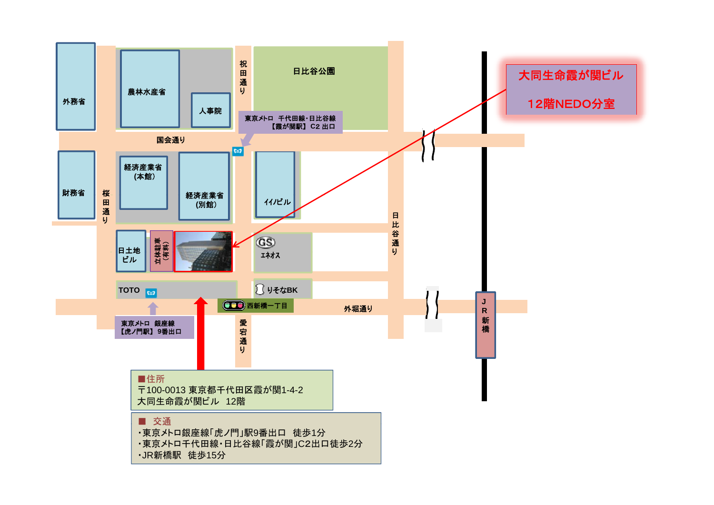